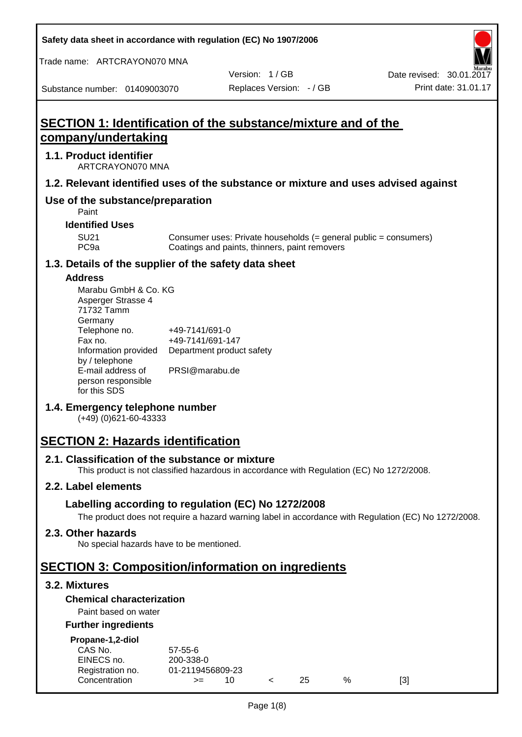**Safety data sheet in accordance with regulation (EC) No 1907/2006**

Trade name: ARTCRAYON070 MNA

Date revised: 30.01.2017

Substance number: 01409003070

**company/undertaking**

ARTCRAYON070 MNA

**Use of the substance/preparation**

**1.1. Product identifier**

Version: 1 / GB Replaces Version: - / GB Print date: 31.01.17

# **SECTION 1: Identification of the substance/mixture and of the 1.2. Relevant identified uses of the substance or mixture and uses advised against** SU21 Consumer uses: Private households (= general public = consumers)<br>PC9a Coatings and paints, thinners, paint removers Coatings and paints, thinners, paint removers

#### **1.3. Details of the supplier of the safety data sheet**

#### **Address**

Paint **Identified Uses**

| Marabu GmbH & Co. KG |                           |
|----------------------|---------------------------|
| Asperger Strasse 4   |                           |
| 71732 Tamm           |                           |
| Germany              |                           |
| Telephone no.        | +49-7141/691-0            |
| Fax no.              | +49-7141/691-147          |
| Information provided | Department product safety |
| by / telephone       |                           |
| E-mail address of    | PRSI@marabu.de            |
| person responsible   |                           |
| for this SDS         |                           |

#### **1.4. Emergency telephone number**

(+49) (0)621-60-43333

# **SECTION 2: Hazards identification**

#### **2.1. Classification of the substance or mixture**

This product is not classified hazardous in accordance with Regulation (EC) No 1272/2008.

#### **2.2. Label elements**

#### **Labelling according to regulation (EC) No 1272/2008**

The product does not require a hazard warning label in accordance with Regulation (EC) No 1272/2008.

#### **2.3. Other hazards**

No special hazards have to be mentioned.

# **SECTION 3: Composition/information on ingredients**

#### **3.2. Mixtures**

#### **Chemical characterization**

#### Paint based on water

#### **Further ingredients**

| Propane-1,2-diol |  |
|------------------|--|
|                  |  |

| CAS No.          | 57-55-6          |  |     |   |     |
|------------------|------------------|--|-----|---|-----|
| EINECS no.       | 200-338-0        |  |     |   |     |
| Registration no. | 01-2119456809-23 |  |     |   |     |
| Concentration    | $>=$             |  | 25. | % | [3] |
|                  |                  |  |     |   |     |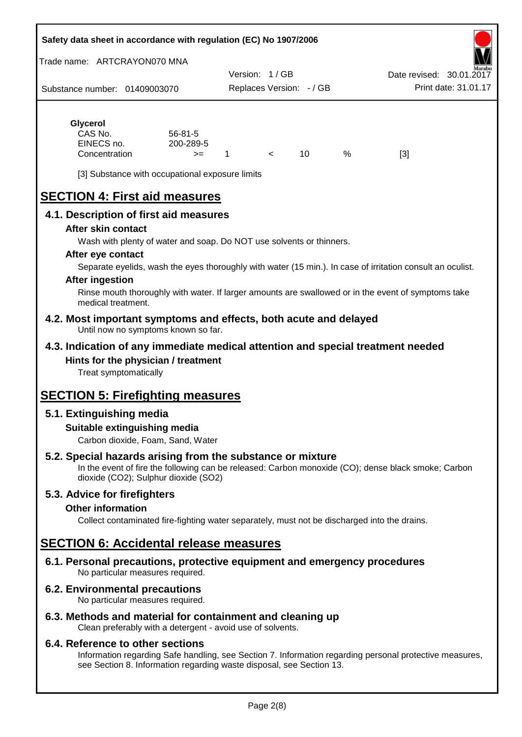#### **Safety data sheet in accordance with regulation (EC) No 1907/2006**

Trade name: ARTCRAYON070 MNA

Substance number: 01409003070 Version: 1 / GB Replaces Version: - / GB Print date: 31.01.17 Date revised: 30.01.2

# **Glycerol**

| CAS No.       | $56 - 81 - 5$ |  |   |     |
|---------------|---------------|--|---|-----|
| EINECS no.    | 200-289-5     |  |   |     |
| Concentration | $>=$          |  | % | [3] |

[3] Substance with occupational exposure limits

# **SECTION 4: First aid measures**

#### **4.1. Description of first aid measures**

#### **After skin contact**

Wash with plenty of water and soap. Do NOT use solvents or thinners.

#### **After eye contact**

Separate eyelids, wash the eyes thoroughly with water (15 min.). In case of irritation consult an oculist.

#### **After ingestion**

Rinse mouth thoroughly with water. If larger amounts are swallowed or in the event of symptoms take medical treatment.

#### **4.2. Most important symptoms and effects, both acute and delayed** Until now no symptoms known so far.

#### **4.3. Indication of any immediate medical attention and special treatment needed Hints for the physician / treatment**

Treat symptomatically

# **SECTION 5: Firefighting measures**

#### **5.1. Extinguishing media**

#### **Suitable extinguishing media**

Carbon dioxide, Foam, Sand, Water

#### **5.2. Special hazards arising from the substance or mixture**

In the event of fire the following can be released: Carbon monoxide (CO); dense black smoke; Carbon dioxide (CO2); Sulphur dioxide (SO2)

#### **5.3. Advice for firefighters**

#### **Other information**

Collect contaminated fire-fighting water separately, must not be discharged into the drains.

### **SECTION 6: Accidental release measures**

**6.1. Personal precautions, protective equipment and emergency procedures** No particular measures required.

#### **6.2. Environmental precautions**

No particular measures required.

#### **6.3. Methods and material for containment and cleaning up**

Clean preferably with a detergent - avoid use of solvents.

#### **6.4. Reference to other sections**

Information regarding Safe handling, see Section 7. Information regarding personal protective measures, see Section 8. Information regarding waste disposal, see Section 13.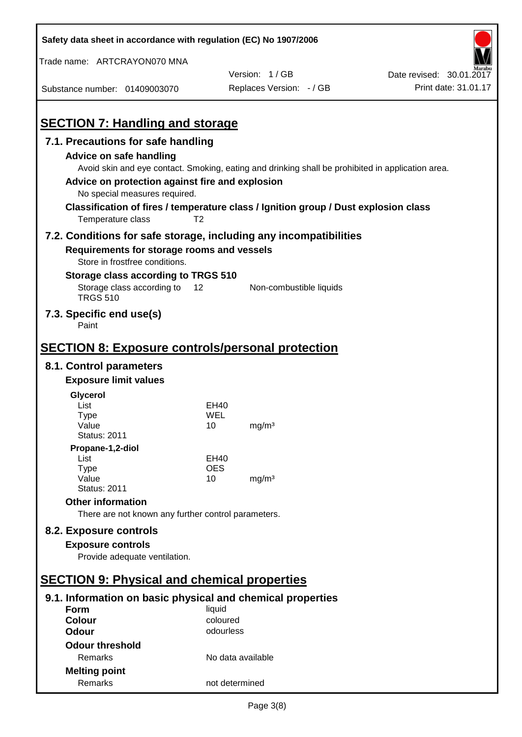| Safety data sheet in accordance with regulation (EC) No 1907/2006                                                                                                                                                                                                                                                            |                   |                          |                          |
|------------------------------------------------------------------------------------------------------------------------------------------------------------------------------------------------------------------------------------------------------------------------------------------------------------------------------|-------------------|--------------------------|--------------------------|
| Trade name: ARTCRAYON070 MNA                                                                                                                                                                                                                                                                                                 |                   |                          |                          |
|                                                                                                                                                                                                                                                                                                                              |                   | Version: 1/GB            | Date revised: 30.01.2017 |
| Substance number: 01409003070                                                                                                                                                                                                                                                                                                |                   | Replaces Version: - / GB | Print date: 31.01.17     |
| <b>SECTION 7: Handling and storage</b>                                                                                                                                                                                                                                                                                       |                   |                          |                          |
| 7.1. Precautions for safe handling                                                                                                                                                                                                                                                                                           |                   |                          |                          |
| Advice on safe handling<br>Avoid skin and eye contact. Smoking, eating and drinking shall be prohibited in application area.<br>Advice on protection against fire and explosion<br>No special measures required.<br>Classification of fires / temperature class / Ignition group / Dust explosion class<br>Temperature class | T <sub>2</sub>    |                          |                          |
| 7.2. Conditions for safe storage, including any incompatibilities                                                                                                                                                                                                                                                            |                   |                          |                          |
| Requirements for storage rooms and vessels<br>Store in frostfree conditions.                                                                                                                                                                                                                                                 |                   |                          |                          |
| Storage class according to TRGS 510                                                                                                                                                                                                                                                                                          |                   |                          |                          |
| Storage class according to<br><b>TRGS 510</b>                                                                                                                                                                                                                                                                                | 12                | Non-combustible liquids  |                          |
| 7.3. Specific end use(s)<br>Paint                                                                                                                                                                                                                                                                                            |                   |                          |                          |
| <u><b>SECTION 8: Exposure controls/personal protection</b></u>                                                                                                                                                                                                                                                               |                   |                          |                          |
| 8.1. Control parameters                                                                                                                                                                                                                                                                                                      |                   |                          |                          |
| <b>Exposure limit values</b>                                                                                                                                                                                                                                                                                                 |                   |                          |                          |
| Glycerol                                                                                                                                                                                                                                                                                                                     |                   |                          |                          |
| List                                                                                                                                                                                                                                                                                                                         | EH40              |                          |                          |
| Type<br>Value                                                                                                                                                                                                                                                                                                                | WEL<br>10         | mg/m <sup>3</sup>        |                          |
| <b>Status: 2011</b>                                                                                                                                                                                                                                                                                                          |                   |                          |                          |
| Propane-1,2-diol                                                                                                                                                                                                                                                                                                             |                   |                          |                          |
| List                                                                                                                                                                                                                                                                                                                         | EH40              |                          |                          |
| <b>Type</b><br>Value                                                                                                                                                                                                                                                                                                         | <b>OES</b><br>10  | mg/m <sup>3</sup>        |                          |
| <b>Status: 2011</b>                                                                                                                                                                                                                                                                                                          |                   |                          |                          |
| <b>Other information</b>                                                                                                                                                                                                                                                                                                     |                   |                          |                          |
| There are not known any further control parameters.                                                                                                                                                                                                                                                                          |                   |                          |                          |
| 8.2. Exposure controls                                                                                                                                                                                                                                                                                                       |                   |                          |                          |
| <b>Exposure controls</b>                                                                                                                                                                                                                                                                                                     |                   |                          |                          |
| Provide adequate ventilation.                                                                                                                                                                                                                                                                                                |                   |                          |                          |
|                                                                                                                                                                                                                                                                                                                              |                   |                          |                          |
| <b>SECTION 9: Physical and chemical properties</b>                                                                                                                                                                                                                                                                           |                   |                          |                          |
| 9.1. Information on basic physical and chemical properties                                                                                                                                                                                                                                                                   |                   |                          |                          |
| <b>Form</b>                                                                                                                                                                                                                                                                                                                  | liquid            |                          |                          |
| <b>Colour</b>                                                                                                                                                                                                                                                                                                                | coloured          |                          |                          |
| <b>Odour</b>                                                                                                                                                                                                                                                                                                                 | odourless         |                          |                          |
| <b>Odour threshold</b>                                                                                                                                                                                                                                                                                                       |                   |                          |                          |
| Remarks                                                                                                                                                                                                                                                                                                                      | No data available |                          |                          |
| <b>Melting point</b>                                                                                                                                                                                                                                                                                                         |                   |                          |                          |
| Remarks                                                                                                                                                                                                                                                                                                                      | not determined    |                          |                          |

 $\mathbf{r}$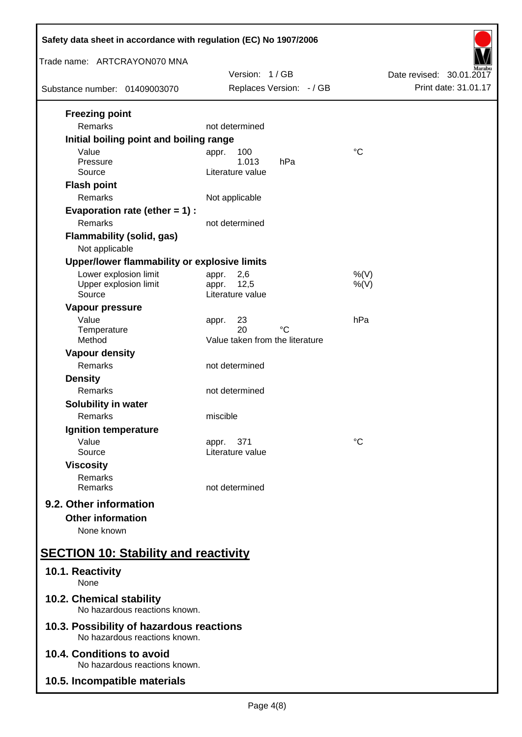| Safety data sheet in accordance with regulation (EC) No 1907/2006                                                                                                                           |                                                                                                        |                          |
|---------------------------------------------------------------------------------------------------------------------------------------------------------------------------------------------|--------------------------------------------------------------------------------------------------------|--------------------------|
| Trade name: ARTCRAYON070 MNA                                                                                                                                                                | Version: 1/GB                                                                                          | Date revised: 30.01.2017 |
| Substance number: 01409003070                                                                                                                                                               | Replaces Version: - / GB                                                                               | Print date: 31.01.17     |
| <b>Freezing point</b><br>Remarks<br>Initial boiling point and boiling range<br>Value<br>Pressure<br>Source<br><b>Flash point</b><br>Remarks<br>Evaporation rate (ether $= 1$ ) :<br>Remarks | not determined<br>100<br>appr.<br>1.013<br>hPa<br>Literature value<br>Not applicable<br>not determined | $^{\circ}C$              |
| <b>Flammability (solid, gas)</b><br>Not applicable<br>Upper/lower flammability or explosive limits                                                                                          |                                                                                                        |                          |
| Lower explosion limit<br>Upper explosion limit<br>Source                                                                                                                                    | 2,6<br>appr.<br>12,5<br>appr.<br>Literature value                                                      | %(V)<br>$%$ (V)          |
| Vapour pressure<br>Value<br>Temperature<br>Method                                                                                                                                           | 23<br>appr.<br>$^{\circ}C$<br>20<br>Value taken from the literature                                    | hPa                      |
| <b>Vapour density</b><br>Remarks<br><b>Density</b>                                                                                                                                          | not determined                                                                                         |                          |
| Remarks<br>Solubility in water<br>Remarks                                                                                                                                                   | not determined<br>miscible                                                                             |                          |
| <b>Ignition temperature</b><br>Value<br>Source                                                                                                                                              | 371<br>appr.<br>Literature value                                                                       | $^{\circ}C$              |
| <b>Viscosity</b><br>Remarks<br>Remarks                                                                                                                                                      | not determined                                                                                         |                          |
| 9.2. Other information<br><b>Other information</b><br>None known                                                                                                                            |                                                                                                        |                          |
| <b>SECTION 10: Stability and reactivity</b>                                                                                                                                                 |                                                                                                        |                          |
| 10.1. Reactivity<br>None                                                                                                                                                                    |                                                                                                        |                          |
| 10.2. Chemical stability<br>No hazardous reactions known.                                                                                                                                   |                                                                                                        |                          |
| 10.3. Possibility of hazardous reactions<br>No hazardous reactions known.                                                                                                                   |                                                                                                        |                          |
| 10.4. Conditions to avoid<br>No hazardous reactions known.                                                                                                                                  |                                                                                                        |                          |
| 10.5. Incompatible materials                                                                                                                                                                |                                                                                                        |                          |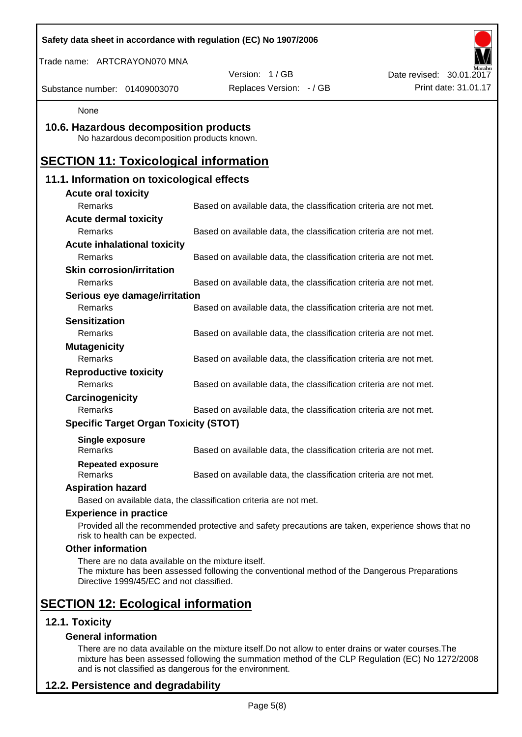| Safety data sheet in accordance with regulation (EC) No 1907/2006                              |                                                                                                    |                          |
|------------------------------------------------------------------------------------------------|----------------------------------------------------------------------------------------------------|--------------------------|
| Trade name: ARTCRAYON070 MNA                                                                   |                                                                                                    |                          |
|                                                                                                | Version: 1/GB                                                                                      | Date revised: 30.01.2017 |
| Substance number: 01409003070                                                                  | Replaces Version: - / GB                                                                           | Print date: 31.01.17     |
| None                                                                                           |                                                                                                    |                          |
| 10.6. Hazardous decomposition products<br>No hazardous decomposition products known.           |                                                                                                    |                          |
| <b>SECTION 11: Toxicological information</b>                                                   |                                                                                                    |                          |
| 11.1. Information on toxicological effects                                                     |                                                                                                    |                          |
| <b>Acute oral toxicity</b>                                                                     |                                                                                                    |                          |
| Remarks                                                                                        | Based on available data, the classification criteria are not met.                                  |                          |
| <b>Acute dermal toxicity</b>                                                                   |                                                                                                    |                          |
| Remarks                                                                                        | Based on available data, the classification criteria are not met.                                  |                          |
| <b>Acute inhalational toxicity</b>                                                             |                                                                                                    |                          |
| Remarks                                                                                        | Based on available data, the classification criteria are not met.                                  |                          |
| <b>Skin corrosion/irritation</b>                                                               |                                                                                                    |                          |
| <b>Remarks</b>                                                                                 | Based on available data, the classification criteria are not met.                                  |                          |
| Serious eye damage/irritation                                                                  |                                                                                                    |                          |
| Remarks                                                                                        | Based on available data, the classification criteria are not met.                                  |                          |
| <b>Sensitization</b>                                                                           |                                                                                                    |                          |
| Remarks                                                                                        | Based on available data, the classification criteria are not met.                                  |                          |
| <b>Mutagenicity</b>                                                                            |                                                                                                    |                          |
| Remarks                                                                                        | Based on available data, the classification criteria are not met.                                  |                          |
| <b>Reproductive toxicity</b><br>Remarks                                                        | Based on available data, the classification criteria are not met.                                  |                          |
|                                                                                                |                                                                                                    |                          |
| Carcinogenicity<br>Remarks                                                                     | Based on available data, the classification criteria are not met.                                  |                          |
| <b>Specific Target Organ Toxicity (STOT)</b>                                                   |                                                                                                    |                          |
|                                                                                                |                                                                                                    |                          |
| <b>Single exposure</b><br>Remarks                                                              | Based on available data, the classification criteria are not met.                                  |                          |
| <b>Repeated exposure</b><br>Remarks                                                            | Based on available data, the classification criteria are not met.                                  |                          |
| <b>Aspiration hazard</b>                                                                       |                                                                                                    |                          |
|                                                                                                | Based on available data, the classification criteria are not met.                                  |                          |
| <b>Experience in practice</b>                                                                  |                                                                                                    |                          |
| risk to health can be expected.                                                                | Provided all the recommended protective and safety precautions are taken, experience shows that no |                          |
| <b>Other information</b>                                                                       |                                                                                                    |                          |
| There are no data available on the mixture itself.<br>Directive 1999/45/EC and not classified. | The mixture has been assessed following the conventional method of the Dangerous Preparations      |                          |
| <b>SECTION 12: Ecological information</b>                                                      |                                                                                                    |                          |
| 12.1. Toxicity                                                                                 |                                                                                                    |                          |
| <b>General information</b>                                                                     |                                                                                                    |                          |

There are no data available on the mixture itself.Do not allow to enter drains or water courses.The mixture has been assessed following the summation method of the CLP Regulation (EC) No 1272/2008 and is not classified as dangerous for the environment.

# **12.2. Persistence and degradability**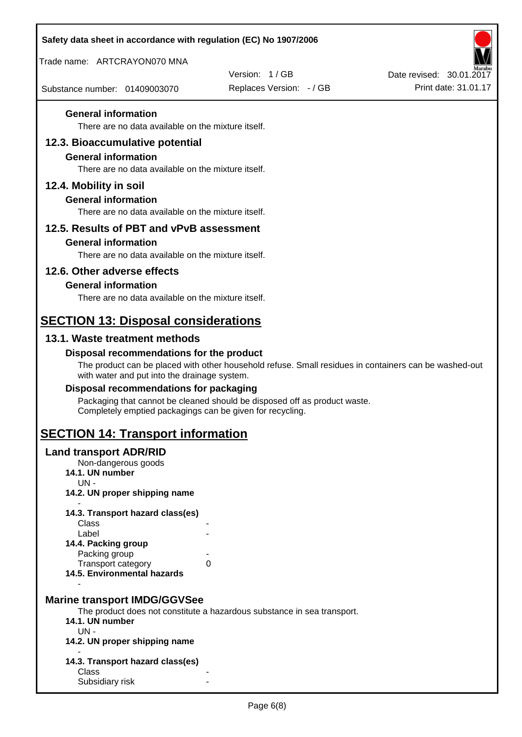| Safety data sheet in accordance with regulation (EC) No 1907/2006                |                                                                                                       |                          |
|----------------------------------------------------------------------------------|-------------------------------------------------------------------------------------------------------|--------------------------|
| Trade name: ARTCRAYON070 MNA                                                     |                                                                                                       |                          |
|                                                                                  | Version: 1/GB                                                                                         | Date revised: 30.01.2017 |
| Substance number: 01409003070                                                    | Replaces Version: - / GB                                                                              | Print date: 31.01.17     |
| <b>General information</b>                                                       |                                                                                                       |                          |
| There are no data available on the mixture itself.                               |                                                                                                       |                          |
| 12.3. Bioaccumulative potential                                                  |                                                                                                       |                          |
| <b>General information</b><br>There are no data available on the mixture itself. |                                                                                                       |                          |
| 12.4. Mobility in soil                                                           |                                                                                                       |                          |
| <b>General information</b>                                                       |                                                                                                       |                          |
| There are no data available on the mixture itself.                               |                                                                                                       |                          |
| 12.5. Results of PBT and vPvB assessment                                         |                                                                                                       |                          |
| <b>General information</b>                                                       |                                                                                                       |                          |
| There are no data available on the mixture itself.                               |                                                                                                       |                          |
| 12.6. Other adverse effects                                                      |                                                                                                       |                          |
| <b>General information</b><br>There are no data available on the mixture itself. |                                                                                                       |                          |
|                                                                                  |                                                                                                       |                          |
| <b>SECTION 13: Disposal considerations</b>                                       |                                                                                                       |                          |
| 13.1. Waste treatment methods                                                    |                                                                                                       |                          |
| Disposal recommendations for the product                                         | The product can be placed with other household refuse. Small residues in containers can be washed-out |                          |
| with water and put into the drainage system.                                     |                                                                                                       |                          |
| Disposal recommendations for packaging                                           | Packaging that cannot be cleaned should be disposed off as product waste.                             |                          |
| Completely emptied packagings can be given for recycling.                        |                                                                                                       |                          |
| <b>SECTION 14: Transport information</b>                                         |                                                                                                       |                          |
| <b>Land transport ADR/RID</b>                                                    |                                                                                                       |                          |
| Non-dangerous goods<br>14.1. UN number                                           |                                                                                                       |                          |
| UN-<br>14.2. UN proper shipping name                                             |                                                                                                       |                          |
|                                                                                  |                                                                                                       |                          |
| 14.3. Transport hazard class(es)<br>Class                                        |                                                                                                       |                          |
| Label<br>14.4. Packing group                                                     |                                                                                                       |                          |
| Packing group                                                                    |                                                                                                       |                          |
| Transport category<br>14.5. Environmental hazards                                | 0                                                                                                     |                          |
|                                                                                  |                                                                                                       |                          |
| <b>Marine transport IMDG/GGVSee</b>                                              |                                                                                                       |                          |
| 14.1. UN number                                                                  | The product does not constitute a hazardous substance in sea transport.                               |                          |
| UN-                                                                              |                                                                                                       |                          |
| 14.2. UN proper shipping name                                                    |                                                                                                       |                          |
| 14.3. Transport hazard class(es)<br>Class                                        |                                                                                                       |                          |
| Subsidiary risk                                                                  |                                                                                                       |                          |
|                                                                                  |                                                                                                       |                          |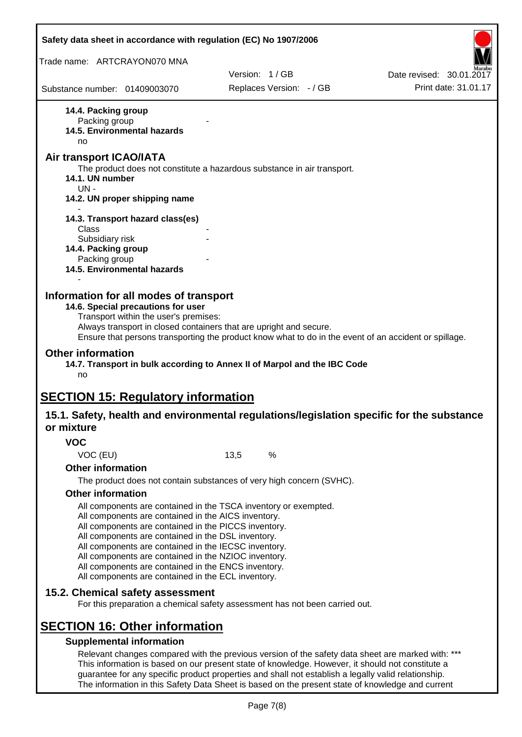| Safety data sheet in accordance with regulation (EC) No 1907/2006 |                                                                                                                                                                                |      |                                                                             |                                                                                                       |
|-------------------------------------------------------------------|--------------------------------------------------------------------------------------------------------------------------------------------------------------------------------|------|-----------------------------------------------------------------------------|-------------------------------------------------------------------------------------------------------|
| Trade name: ARTCRAYON070 MNA                                      |                                                                                                                                                                                |      |                                                                             |                                                                                                       |
|                                                                   |                                                                                                                                                                                |      | Version: 1/GB                                                               | Date revised: 30.01.2017                                                                              |
| Substance number: 01409003070                                     |                                                                                                                                                                                |      | Replaces Version: - / GB                                                    | Print date: 31.01.17                                                                                  |
| 14.4. Packing group                                               |                                                                                                                                                                                |      |                                                                             |                                                                                                       |
| Packing group                                                     | 14.5. Environmental hazards                                                                                                                                                    |      |                                                                             |                                                                                                       |
| no                                                                |                                                                                                                                                                                |      |                                                                             |                                                                                                       |
| Air transport ICAO/IATA                                           |                                                                                                                                                                                |      |                                                                             |                                                                                                       |
| 14.1. UN number<br>$UN -$                                         |                                                                                                                                                                                |      | The product does not constitute a hazardous substance in air transport.     |                                                                                                       |
|                                                                   | 14.2. UN proper shipping name                                                                                                                                                  |      |                                                                             |                                                                                                       |
|                                                                   | 14.3. Transport hazard class(es)                                                                                                                                               |      |                                                                             |                                                                                                       |
| Class<br>Subsidiary risk                                          |                                                                                                                                                                                |      |                                                                             |                                                                                                       |
| 14.4. Packing group                                               |                                                                                                                                                                                |      |                                                                             |                                                                                                       |
| Packing group                                                     |                                                                                                                                                                                |      |                                                                             |                                                                                                       |
|                                                                   | 14.5. Environmental hazards                                                                                                                                                    |      |                                                                             |                                                                                                       |
| Information for all modes of transport                            | 14.6. Special precautions for user<br>Transport within the user's premises:<br>Always transport in closed containers that are upright and secure.                              |      |                                                                             | Ensure that persons transporting the product know what to do in the event of an accident or spillage. |
| <b>Other information</b><br>no                                    |                                                                                                                                                                                |      | 14.7. Transport in bulk according to Annex II of Marpol and the IBC Code    |                                                                                                       |
| <b>SECTION 15: Regulatory information</b>                         |                                                                                                                                                                                |      |                                                                             |                                                                                                       |
| or mixture                                                        |                                                                                                                                                                                |      |                                                                             | 15.1. Safety, health and environmental regulations/legislation specific for the substance             |
| <b>VOC</b>                                                        |                                                                                                                                                                                |      |                                                                             |                                                                                                       |
| VOC (EU)                                                          |                                                                                                                                                                                | 13,5 | %                                                                           |                                                                                                       |
| <b>Other information</b>                                          |                                                                                                                                                                                |      |                                                                             |                                                                                                       |
|                                                                   |                                                                                                                                                                                |      | The product does not contain substances of very high concern (SVHC).        |                                                                                                       |
| <b>Other information</b>                                          |                                                                                                                                                                                |      |                                                                             |                                                                                                       |
|                                                                   | All components are contained in the TSCA inventory or exempted.<br>All components are contained in the AICS inventory.<br>All components are contained in the PICCS inventory. |      |                                                                             |                                                                                                       |
|                                                                   | All components are contained in the DSL inventory.<br>All components are contained in the IECSC inventory.<br>All components are contained in the NZIOC inventory.             |      |                                                                             |                                                                                                       |
|                                                                   | All components are contained in the ENCS inventory.<br>All components are contained in the ECL inventory.                                                                      |      |                                                                             |                                                                                                       |
| 15.2. Chemical safety assessment                                  |                                                                                                                                                                                |      |                                                                             |                                                                                                       |
|                                                                   |                                                                                                                                                                                |      | For this preparation a chemical safety assessment has not been carried out. |                                                                                                       |
|                                                                   |                                                                                                                                                                                |      |                                                                             |                                                                                                       |
| <b>SECTION 16: Other information</b>                              | <b>Supplemental information</b>                                                                                                                                                |      |                                                                             |                                                                                                       |

Page 7(8)

The information in this Safety Data Sheet is based on the present state of knowledge and current